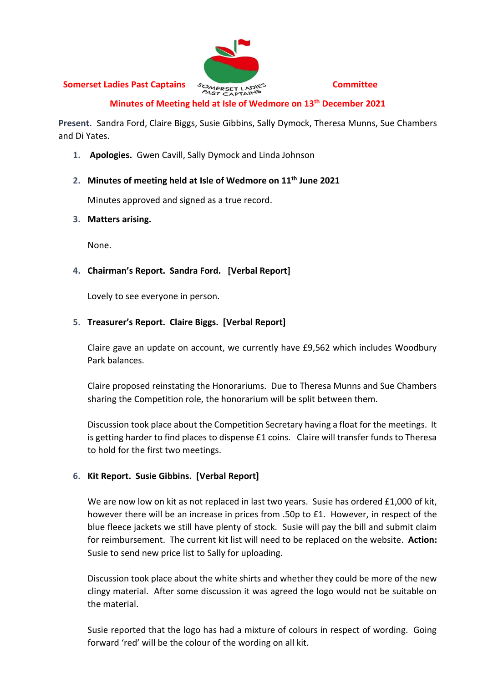# **Somerset Ladies Past Captains**  $S_{\text{CMERSET LADN}}^{\text{OMERSET LADN}}$  Committee



# **Minutes of Meeting held at Isle of Wedmore on 13 th December 2021**

**Present.** Sandra Ford, Claire Biggs, Susie Gibbins, Sally Dymock, Theresa Munns, Sue Chambers and Di Yates.

**1. Apologies.** Gwen Cavill, Sally Dymock and Linda Johnson

#### **2. Minutes of meeting held at Isle of Wedmore on 11th June 2021**

Minutes approved and signed as a true record.

#### **3. Matters arising.**

None.

# **4. Chairman's Report. Sandra Ford. [Verbal Report]**

Lovely to see everyone in person.

# **5. Treasurer's Report. Claire Biggs. [Verbal Report]**

Claire gave an update on account, we currently have £9,562 which includes Woodbury Park balances.

Claire proposed reinstating the Honorariums. Due to Theresa Munns and Sue Chambers sharing the Competition role, the honorarium will be split between them.

Discussion took place about the Competition Secretary having a float for the meetings. It is getting harder to find places to dispense £1 coins. Claire will transfer funds to Theresa to hold for the first two meetings.

# **6. Kit Report. Susie Gibbins. [Verbal Report]**

We are now low on kit as not replaced in last two years. Susie has ordered £1,000 of kit, however there will be an increase in prices from .50p to £1. However, in respect of the blue fleece jackets we still have plenty of stock. Susie will pay the bill and submit claim for reimbursement. The current kit list will need to be replaced on the website. **Action:** Susie to send new price list to Sally for uploading.

Discussion took place about the white shirts and whether they could be more of the new clingy material. After some discussion it was agreed the logo would not be suitable on the material.

Susie reported that the logo has had a mixture of colours in respect of wording. Going forward 'red' will be the colour of the wording on all kit.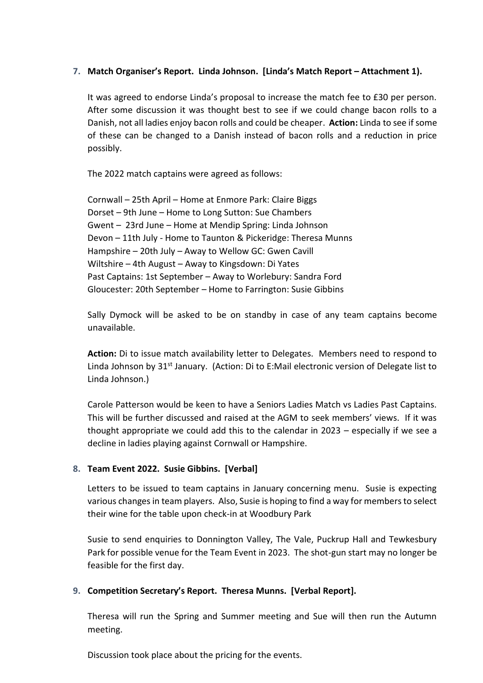# **7. Match Organiser's Report. Linda Johnson. [Linda's Match Report – Attachment 1).**

It was agreed to endorse Linda's proposal to increase the match fee to £30 per person. After some discussion it was thought best to see if we could change bacon rolls to a Danish, not all ladies enjoy bacon rolls and could be cheaper. **Action:** Linda to see if some of these can be changed to a Danish instead of bacon rolls and a reduction in price possibly.

The 2022 match captains were agreed as follows:

Cornwall – 25th April – Home at Enmore Park: Claire Biggs Dorset – 9th June – Home to Long Sutton: Sue Chambers Gwent – 23rd June – Home at Mendip Spring: Linda Johnson Devon – 11th July - Home to Taunton & Pickeridge: Theresa Munns Hampshire – 20th July – Away to Wellow GC: Gwen Cavill Wiltshire – 4th August – Away to Kingsdown: Di Yates Past Captains: 1st September – Away to Worlebury: Sandra Ford Gloucester: 20th September – Home to Farrington: Susie Gibbins

Sally Dymock will be asked to be on standby in case of any team captains become unavailable.

**Action:** Di to issue match availability letter to Delegates. Members need to respond to Linda Johnson by 31<sup>st</sup> January. (Action: Di to E:Mail electronic version of Delegate list to Linda Johnson.)

Carole Patterson would be keen to have a Seniors Ladies Match vs Ladies Past Captains. This will be further discussed and raised at the AGM to seek members' views. If it was thought appropriate we could add this to the calendar in 2023 – especially if we see a decline in ladies playing against Cornwall or Hampshire.

# **8. Team Event 2022. Susie Gibbins. [Verbal]**

Letters to be issued to team captains in January concerning menu. Susie is expecting various changes in team players. Also, Susie is hoping to find a way for members to select their wine for the table upon check-in at Woodbury Park

Susie to send enquiries to Donnington Valley, The Vale, Puckrup Hall and Tewkesbury Park for possible venue for the Team Event in 2023. The shot-gun start may no longer be feasible for the first day.

# **9. Competition Secretary's Report. Theresa Munns. [Verbal Report].**

Theresa will run the Spring and Summer meeting and Sue will then run the Autumn meeting.

Discussion took place about the pricing for the events.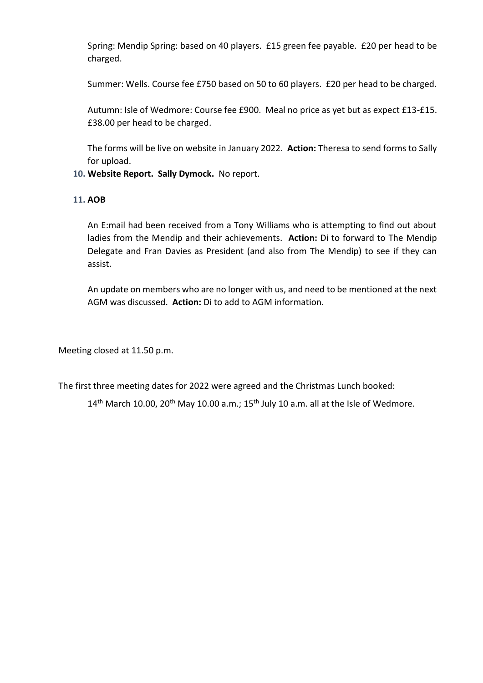Spring: Mendip Spring: based on 40 players. £15 green fee payable. £20 per head to be charged.

Summer: Wells. Course fee £750 based on 50 to 60 players. £20 per head to be charged.

Autumn: Isle of Wedmore: Course fee £900. Meal no price as yet but as expect £13-£15. £38.00 per head to be charged.

The forms will be live on website in January 2022. **Action:** Theresa to send forms to Sally for upload.

#### **10. Website Report. Sally Dymock.** No report.

#### **11. AOB**

An E:mail had been received from a Tony Williams who is attempting to find out about ladies from the Mendip and their achievements. **Action:** Di to forward to The Mendip Delegate and Fran Davies as President (and also from The Mendip) to see if they can assist.

An update on members who are no longer with us, and need to be mentioned at the next AGM was discussed. **Action:** Di to add to AGM information.

Meeting closed at 11.50 p.m.

The first three meeting dates for 2022 were agreed and the Christmas Lunch booked:

 $14<sup>th</sup>$  March 10.00, 20<sup>th</sup> May 10.00 a.m.; 15<sup>th</sup> July 10 a.m. all at the Isle of Wedmore.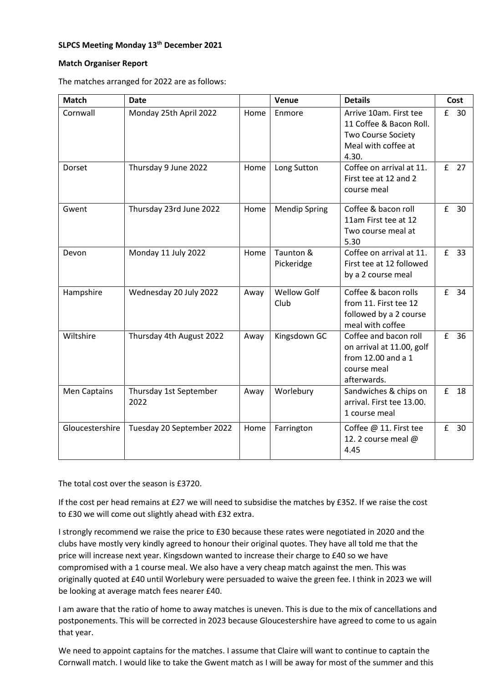#### **SLPCS Meeting Monday 13th December 2021**

#### **Match Organiser Report**

The matches arranged for 2022 are as follows:

| <b>Match</b>    | <b>Date</b>                    |      | Venue                      | <b>Details</b>                                                                                          |   | Cost   |
|-----------------|--------------------------------|------|----------------------------|---------------------------------------------------------------------------------------------------------|---|--------|
| Cornwall        | Monday 25th April 2022         | Home | Enmore                     | Arrive 10am. First tee<br>11 Coffee & Bacon Roll.<br>Two Course Society<br>Meal with coffee at<br>4.30. |   | £ 30   |
| Dorset          | Thursday 9 June 2022           | Home | Long Sutton                | Coffee on arrival at 11.<br>First tee at 12 and 2<br>course meal                                        |   | $E$ 27 |
| Gwent           | Thursday 23rd June 2022        | Home | <b>Mendip Spring</b>       | Coffee & bacon roll<br>11am First tee at 12<br>Two course meal at<br>5.30                               | f | 30     |
| Devon           | Monday 11 July 2022            | Home | Taunton &<br>Pickeridge    | Coffee on arrival at 11.<br>First tee at 12 followed<br>by a 2 course meal                              |   | £ 33   |
| Hampshire       | Wednesday 20 July 2022         | Away | <b>Wellow Golf</b><br>Club | Coffee & bacon rolls<br>from 11. First tee 12<br>followed by a 2 course<br>meal with coffee             | f | 34     |
| Wiltshire       | Thursday 4th August 2022       | Away | Kingsdown GC               | Coffee and bacon roll<br>on arrival at 11.00, golf<br>from 12.00 and a 1<br>course meal<br>afterwards.  | f | 36     |
| Men Captains    | Thursday 1st September<br>2022 | Away | Worlebury                  | Sandwiches & chips on<br>arrival. First tee 13.00.<br>1 course meal                                     | £ | 18     |
| Gloucestershire | Tuesday 20 September 2022      | Home | Farrington                 | Coffee @ 11. First tee<br>12. 2 course meal @<br>4.45                                                   | f | 30     |

The total cost over the season is £3720.

If the cost per head remains at £27 we will need to subsidise the matches by £352. If we raise the cost to £30 we will come out slightly ahead with £32 extra.

I strongly recommend we raise the price to £30 because these rates were negotiated in 2020 and the clubs have mostly very kindly agreed to honour their original quotes. They have all told me that the price will increase next year. Kingsdown wanted to increase their charge to £40 so we have compromised with a 1 course meal. We also have a very cheap match against the men. This was originally quoted at £40 until Worlebury were persuaded to waive the green fee. I think in 2023 we will be looking at average match fees nearer £40.

I am aware that the ratio of home to away matches is uneven. This is due to the mix of cancellations and postponements. This will be corrected in 2023 because Gloucestershire have agreed to come to us again that year.

We need to appoint captains for the matches. I assume that Claire will want to continue to captain the Cornwall match. I would like to take the Gwent match as I will be away for most of the summer and this